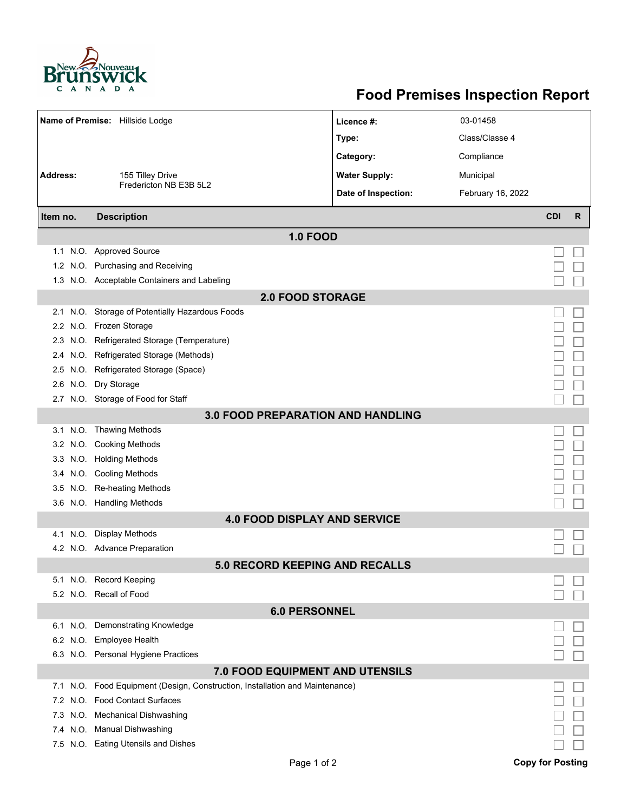

## **Food Premises Inspection Report**

| Name of Premise: Hillside Lodge          |                                                                          | Licence #:           | 03-01458          |            |   |  |  |  |
|------------------------------------------|--------------------------------------------------------------------------|----------------------|-------------------|------------|---|--|--|--|
|                                          |                                                                          | Type:                | Class/Classe 4    |            |   |  |  |  |
|                                          |                                                                          | Category:            | Compliance        |            |   |  |  |  |
| <b>Address:</b><br>155 Tilley Drive      |                                                                          | <b>Water Supply:</b> | Municipal         |            |   |  |  |  |
|                                          | Fredericton NB E3B 5L2                                                   |                      |                   |            |   |  |  |  |
|                                          |                                                                          | Date of Inspection:  | February 16, 2022 |            |   |  |  |  |
| Item no.                                 | <b>Description</b>                                                       |                      |                   | <b>CDI</b> | R |  |  |  |
| <b>1.0 FOOD</b>                          |                                                                          |                      |                   |            |   |  |  |  |
|                                          | 1.1 N.O. Approved Source                                                 |                      |                   |            |   |  |  |  |
|                                          | 1.2 N.O. Purchasing and Receiving                                        |                      |                   |            |   |  |  |  |
|                                          | 1.3 N.O. Acceptable Containers and Labeling                              |                      |                   |            |   |  |  |  |
| <b>2.0 FOOD STORAGE</b>                  |                                                                          |                      |                   |            |   |  |  |  |
| 2.1                                      | N.O. Storage of Potentially Hazardous Foods                              |                      |                   |            |   |  |  |  |
|                                          | 2.2 N.O. Frozen Storage                                                  |                      |                   |            |   |  |  |  |
| 2.3                                      | N.O. Refrigerated Storage (Temperature)                                  |                      |                   |            |   |  |  |  |
| 2.4                                      | N.O. Refrigerated Storage (Methods)                                      |                      |                   |            |   |  |  |  |
|                                          | 2.5 N.O. Refrigerated Storage (Space)                                    |                      |                   |            |   |  |  |  |
| 2.6                                      | N.O. Dry Storage                                                         |                      |                   |            |   |  |  |  |
|                                          | 2.7 N.O. Storage of Food for Staff                                       |                      |                   |            |   |  |  |  |
| <b>3.0 FOOD PREPARATION AND HANDLING</b> |                                                                          |                      |                   |            |   |  |  |  |
|                                          | 3.1 N.O. Thawing Methods                                                 |                      |                   |            |   |  |  |  |
|                                          | 3.2 N.O. Cooking Methods                                                 |                      |                   |            |   |  |  |  |
|                                          | 3.3 N.O. Holding Methods                                                 |                      |                   |            |   |  |  |  |
|                                          | 3.4 N.O. Cooling Methods                                                 |                      |                   |            |   |  |  |  |
| 3.5                                      | N.O. Re-heating Methods                                                  |                      |                   |            |   |  |  |  |
|                                          | 3.6 N.O. Handling Methods                                                |                      |                   |            |   |  |  |  |
| <b>4.0 FOOD DISPLAY AND SERVICE</b>      |                                                                          |                      |                   |            |   |  |  |  |
| N.O.<br>4.1                              | <b>Display Methods</b>                                                   |                      |                   |            |   |  |  |  |
|                                          | 4.2 N.O. Advance Preparation                                             |                      |                   |            |   |  |  |  |
| <b>5.0 RECORD KEEPING AND RECALLS</b>    |                                                                          |                      |                   |            |   |  |  |  |
|                                          | 5.1 N.O. Record Keeping                                                  |                      |                   |            |   |  |  |  |
|                                          | 5.2 N.O. Recall of Food                                                  |                      |                   |            |   |  |  |  |
| <b>6.0 PERSONNEL</b>                     |                                                                          |                      |                   |            |   |  |  |  |
|                                          | 6.1 N.O. Demonstrating Knowledge                                         |                      |                   |            |   |  |  |  |
|                                          | 6.2 N.O. Employee Health                                                 |                      |                   |            |   |  |  |  |
|                                          | 6.3 N.O. Personal Hygiene Practices                                      |                      |                   |            |   |  |  |  |
| 7.0 FOOD EQUIPMENT AND UTENSILS          |                                                                          |                      |                   |            |   |  |  |  |
| 7.1                                      | N.O. Food Equipment (Design, Construction, Installation and Maintenance) |                      |                   |            |   |  |  |  |
| 7.2                                      | N.O. Food Contact Surfaces                                               |                      |                   |            |   |  |  |  |
| 7.3                                      | N.O. Mechanical Dishwashing                                              |                      |                   |            |   |  |  |  |
|                                          | 7.4 N.O. Manual Dishwashing                                              |                      |                   |            |   |  |  |  |
|                                          | 7.5 N.O. Eating Utensils and Dishes                                      |                      |                   |            |   |  |  |  |